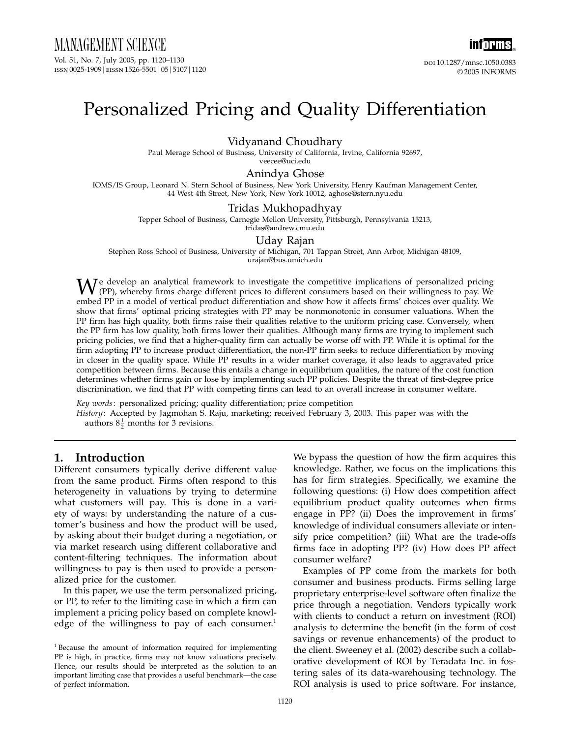Vol. 51, No. 7, July 2005, pp. 1120–1130 ISSN 0025-1909 | EISSN 1526-5501 | 05 | 5107 | 1120



doi 10.1287/mnsc.1050.0383 © 2005 INFORMS

# Personalized Pricing and Quality Differentiation

Vidyanand Choudhary

Paul Merage School of Business, University of California, Irvine, California 92697,

veecee@uci.edu

Anindya Ghose IOMS/IS Group, Leonard N. Stern School of Business, New York University, Henry Kaufman Management Center, 44 West 4th Street, New York, New York 10012, aghose@stern.nyu.edu

## Tridas Mukhopadhyay

Tepper School of Business, Carnegie Mellon University, Pittsburgh, Pennsylvania 15213, tridas@andrew.cmu.edu

# Uday Rajan

Stephen Ross School of Business, University of Michigan, 701 Tappan Street, Ann Arbor, Michigan 48109, urajan@bus.umich.edu

 $\mathbf{W}$ e develop an analytical framework to investigate the competitive implications of personalized pricing (PP), whereby firms charge different prices to different consumers based on their willingness to pay. We embed PP in a model of vertical product differentiation and show how it affects firms' choices over quality. We show that firms' optimal pricing strategies with PP may be nonmonotonic in consumer valuations. When the PP firm has high quality, both firms raise their qualities relative to the uniform pricing case. Conversely, when the PP firm has low quality, both firms lower their qualities. Although many firms are trying to implement such pricing policies, we find that a higher-quality firm can actually be worse off with PP. While it is optimal for the firm adopting PP to increase product differentiation, the non-PP firm seeks to reduce differentiation by moving in closer in the quality space. While PP results in a wider market coverage, it also leads to aggravated price competition between firms. Because this entails a change in equilibrium qualities, the nature of the cost function determines whether firms gain or lose by implementing such PP policies. Despite the threat of first-degree price discrimination, we find that PP with competing firms can lead to an overall increase in consumer welfare.

Key words: personalized pricing; quality differentiation; price competition History: Accepted by Jagmohan S. Raju, marketing; received February 3, 2003. This paper was with the authors  $8\frac{1}{2}$  months for 3 revisions.

# 1. Introduction

Different consumers typically derive different value from the same product. Firms often respond to this heterogeneity in valuations by trying to determine what customers will pay. This is done in a variety of ways: by understanding the nature of a customer's business and how the product will be used, by asking about their budget during a negotiation, or via market research using different collaborative and content-filtering techniques. The information about willingness to pay is then used to provide a personalized price for the customer.

In this paper, we use the term personalized pricing, or PP, to refer to the limiting case in which a firm can implement a pricing policy based on complete knowledge of the willingness to pay of each consumer. $<sup>1</sup>$ </sup> We bypass the question of how the firm acquires this knowledge. Rather, we focus on the implications this has for firm strategies. Specifically, we examine the following questions: (i) How does competition affect equilibrium product quality outcomes when firms engage in PP? (ii) Does the improvement in firms' knowledge of individual consumers alleviate or intensify price competition? (iii) What are the trade-offs firms face in adopting PP? (iv) How does PP affect consumer welfare?

Examples of PP come from the markets for both consumer and business products. Firms selling large proprietary enterprise-level software often finalize the price through a negotiation. Vendors typically work with clients to conduct a return on investment (ROI) analysis to determine the benefit (in the form of cost savings or revenue enhancements) of the product to the client. Sweeney et al. (2002) describe such a collaborative development of ROI by Teradata Inc. in fostering sales of its data-warehousing technology. The ROI analysis is used to price software. For instance,

<sup>&</sup>lt;sup>1</sup> Because the amount of information required for implementing PP is high, in practice, firms may not know valuations precisely. Hence, our results should be interpreted as the solution to an important limiting case that provides a useful benchmark—the case of perfect information.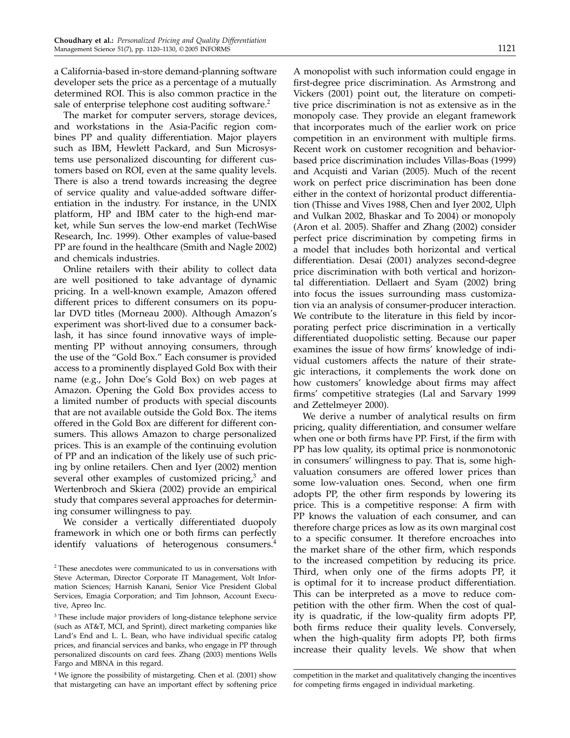a California-based in-store demand-planning software developer sets the price as a percentage of a mutually determined ROI. This is also common practice in the sale of enterprise telephone cost auditing software.<sup>2</sup>

The market for computer servers, storage devices, and workstations in the Asia-Pacific region combines PP and quality differentiation. Major players such as IBM, Hewlett Packard, and Sun Microsystems use personalized discounting for different customers based on ROI, even at the same quality levels. There is also a trend towards increasing the degree of service quality and value-added software differentiation in the industry. For instance, in the UNIX platform, HP and IBM cater to the high-end market, while Sun serves the low-end market (TechWise Research, Inc. 1999). Other examples of value-based PP are found in the healthcare (Smith and Nagle 2002) and chemicals industries.

Online retailers with their ability to collect data are well positioned to take advantage of dynamic pricing. In a well-known example, Amazon offered different prices to different consumers on its popular DVD titles (Morneau 2000). Although Amazon's experiment was short-lived due to a consumer backlash, it has since found innovative ways of implementing PP without annoying consumers, through the use of the "Gold Box." Each consumer is provided access to a prominently displayed Gold Box with their name (e.g., John Doe's Gold Box) on web pages at Amazon. Opening the Gold Box provides access to a limited number of products with special discounts that are not available outside the Gold Box. The items offered in the Gold Box are different for different consumers. This allows Amazon to charge personalized prices. This is an example of the continuing evolution of PP and an indication of the likely use of such pricing by online retailers. Chen and Iyer (2002) mention several other examples of customized pricing, $3$  and Wertenbroch and Skiera (2002) provide an empirical study that compares several approaches for determining consumer willingness to pay.

We consider a vertically differentiated duopoly framework in which one or both firms can perfectly identify valuations of heterogenous consumers.<sup>4</sup>

<sup>4</sup> We ignore the possibility of mistargeting. Chen et al. (2001) show that mistargeting can have an important effect by softening price

A monopolist with such information could engage in first-degree price discrimination. As Armstrong and Vickers (2001) point out, the literature on competitive price discrimination is not as extensive as in the monopoly case. They provide an elegant framework that incorporates much of the earlier work on price competition in an environment with multiple firms. Recent work on customer recognition and behaviorbased price discrimination includes Villas-Boas (1999) and Acquisti and Varian (2005). Much of the recent work on perfect price discrimination has been done either in the context of horizontal product differentiation (Thisse and Vives 1988, Chen and Iyer 2002, Ulph and Vulkan 2002, Bhaskar and To 2004) or monopoly (Aron et al. 2005). Shaffer and Zhang (2002) consider perfect price discrimination by competing firms in a model that includes both horizontal and vertical differentiation. Desai (2001) analyzes second-degree price discrimination with both vertical and horizontal differentiation. Dellaert and Syam (2002) bring into focus the issues surrounding mass customization via an analysis of consumer-producer interaction. We contribute to the literature in this field by incorporating perfect price discrimination in a vertically differentiated duopolistic setting. Because our paper examines the issue of how firms' knowledge of individual customers affects the nature of their strategic interactions, it complements the work done on how customers' knowledge about firms may affect firms' competitive strategies (Lal and Sarvary 1999 and Zettelmeyer 2000).

We derive a number of analytical results on firm pricing, quality differentiation, and consumer welfare when one or both firms have PP. First, if the firm with PP has low quality, its optimal price is nonmonotonic in consumers' willingness to pay. That is, some highvaluation consumers are offered lower prices than some low-valuation ones. Second, when one firm adopts PP, the other firm responds by lowering its price. This is a competitive response: A firm with PP knows the valuation of each consumer, and can therefore charge prices as low as its own marginal cost to a specific consumer. It therefore encroaches into the market share of the other firm, which responds to the increased competition by reducing its price. Third, when only one of the firms adopts PP, it is optimal for it to increase product differentiation. This can be interpreted as a move to reduce competition with the other firm. When the cost of quality is quadratic, if the low-quality firm adopts PP, both firms reduce their quality levels. Conversely, when the high-quality firm adopts PP, both firms increase their quality levels. We show that when

<sup>&</sup>lt;sup>2</sup> These anecdotes were communicated to us in conversations with Steve Acterman, Director Corporate IT Management, Volt Information Sciences; Harnish Kanani, Senior Vice President Global Services, Emagia Corporation; and Tim Johnson, Account Executive, Apreo Inc.

<sup>3</sup> These include major providers of long-distance telephone service (such as AT&T, MCI, and Sprint), direct marketing companies like Land's End and L. L. Bean, who have individual specific catalog prices, and financial services and banks, who engage in PP through personalized discounts on card fees. Zhang (2003) mentions Wells Fargo and MBNA in this regard.

competition in the market and qualitatively changing the incentives for competing firms engaged in individual marketing.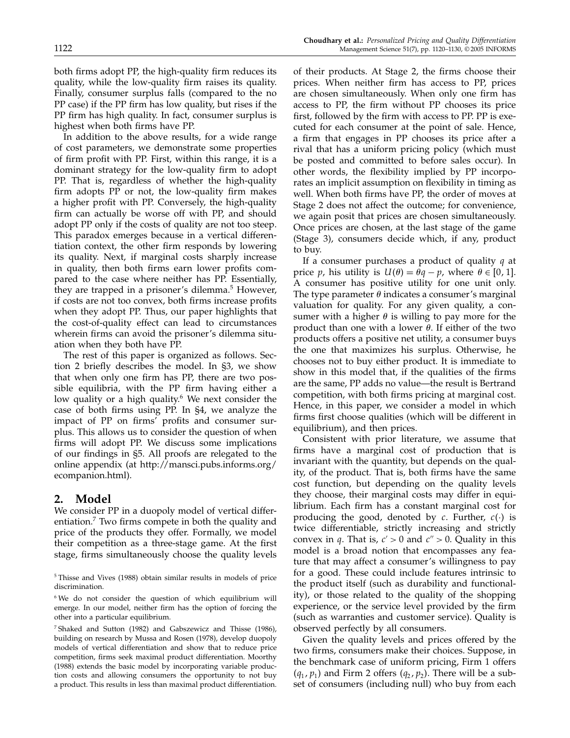both firms adopt PP, the high-quality firm reduces its quality, while the low-quality firm raises its quality. Finally, consumer surplus falls (compared to the no PP case) if the PP firm has low quality, but rises if the PP firm has high quality. In fact, consumer surplus is highest when both firms have PP.

In addition to the above results, for a wide range of cost parameters, we demonstrate some properties of firm profit with PP. First, within this range, it is a dominant strategy for the low-quality firm to adopt PP. That is, regardless of whether the high-quality firm adopts PP or not, the low-quality firm makes a higher profit with PP. Conversely, the high-quality firm can actually be worse off with PP, and should adopt PP only if the costs of quality are not too steep. This paradox emerges because in a vertical differentiation context, the other firm responds by lowering its quality. Next, if marginal costs sharply increase in quality, then both firms earn lower profits compared to the case where neither has PP. Essentially, they are trapped in a prisoner's dilemma.<sup>5</sup> However, if costs are not too convex, both firms increase profits when they adopt PP. Thus, our paper highlights that the cost-of-quality effect can lead to circumstances wherein firms can avoid the prisoner's dilemma situation when they both have PP.

The rest of this paper is organized as follows. Section 2 briefly describes the model. In §3, we show that when only one firm has PP, there are two possible equilibria, with the PP firm having either a low quality or a high quality. $6$  We next consider the case of both firms using PP. In §4, we analyze the impact of PP on firms' profits and consumer surplus. This allows us to consider the question of when firms will adopt PP. We discuss some implications of our findings in §5. All proofs are relegated to the online appendix (at http://mansci.pubs.informs.org/ ecompanion.html).

# 2. Model

We consider PP in a duopoly model of vertical differentiation.<sup>7</sup> Two firms compete in both the quality and price of the products they offer. Formally, we model their competition as a three-stage game. At the first stage, firms simultaneously choose the quality levels

<sup>6</sup> We do not consider the question of which equilibrium will emerge. In our model, neither firm has the option of forcing the other into a particular equilibrium.

<sup>7</sup> Shaked and Sutton (1982) and Gabszewicz and Thisse (1986), building on research by Mussa and Rosen (1978), develop duopoly models of vertical differentiation and show that to reduce price competition, firms seek maximal product differentiation. Moorthy (1988) extends the basic model by incorporating variable production costs and allowing consumers the opportunity to not buy a product. This results in less than maximal product differentiation.

of their products. At Stage 2, the firms choose their prices. When neither firm has access to PP, prices are chosen simultaneously. When only one firm has access to PP, the firm without PP chooses its price first, followed by the firm with access to PP. PP is executed for each consumer at the point of sale. Hence, a firm that engages in PP chooses its price after a rival that has a uniform pricing policy (which must be posted and committed to before sales occur). In other words, the flexibility implied by PP incorporates an implicit assumption on flexibility in timing as well. When both firms have PP, the order of moves at Stage 2 does not affect the outcome; for convenience, we again posit that prices are chosen simultaneously. Once prices are chosen, at the last stage of the game (Stage 3), consumers decide which, if any, product to buy.

If a consumer purchases a product of quality  $q$  at price p, his utility is  $U(\theta) = \theta q - p$ , where  $\theta \in [0, 1]$ . A consumer has positive utility for one unit only. The type parameter  $\theta$  indicates a consumer's marginal valuation for quality. For any given quality, a consumer with a higher  $\theta$  is willing to pay more for the product than one with a lower  $\theta$ . If either of the two products offers a positive net utility, a consumer buys the one that maximizes his surplus. Otherwise, he chooses not to buy either product. It is immediate to show in this model that, if the qualities of the firms are the same, PP adds no value—the result is Bertrand competition, with both firms pricing at marginal cost. Hence, in this paper, we consider a model in which firms first choose qualities (which will be different in equilibrium), and then prices.

Consistent with prior literature, we assume that firms have a marginal cost of production that is invariant with the quantity, but depends on the quality, of the product. That is, both firms have the same cost function, but depending on the quality levels they choose, their marginal costs may differ in equilibrium. Each firm has a constant marginal cost for producing the good, denoted by c. Further,  $c(\cdot)$  is twice differentiable, strictly increasing and strictly convex in q. That is,  $c' > 0$  and  $c'' > 0$ . Quality in this model is a broad notion that encompasses any feature that may affect a consumer's willingness to pay for a good. These could include features intrinsic to the product itself (such as durability and functionality), or those related to the quality of the shopping experience, or the service level provided by the firm (such as warranties and customer service). Quality is observed perfectly by all consumers.

Given the quality levels and prices offered by the two firms, consumers make their choices. Suppose, in the benchmark case of uniform pricing, Firm 1 offers  $(q_1, p_1)$  and Firm 2 offers  $(q_2, p_2)$ . There will be a subset of consumers (including null) who buy from each

<sup>5</sup> Thisse and Vives (1988) obtain similar results in models of price discrimination.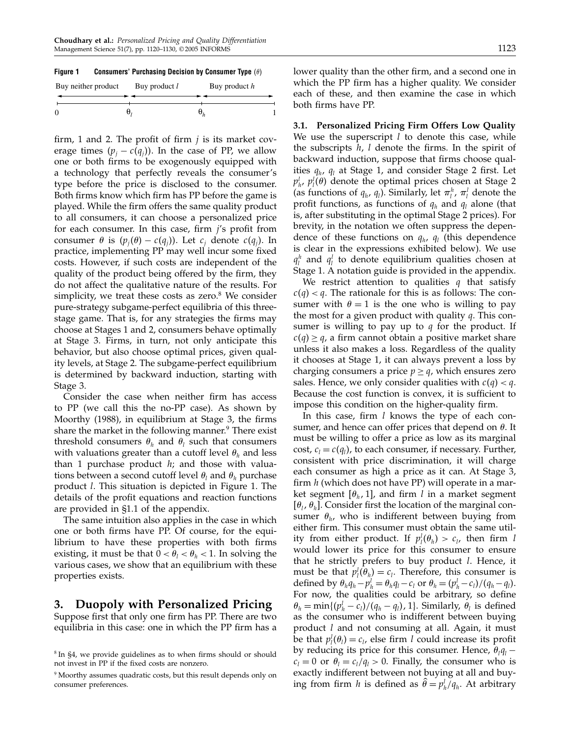| Figure 1 | Consumers' Purchasing Decision by Consumer Type $(\theta)$ |  |
|----------|------------------------------------------------------------|--|
|----------|------------------------------------------------------------|--|

| Buy neither product | Buy product l | Buy product $h$ |  |  |
|---------------------|---------------|-----------------|--|--|
|                     |               |                 |  |  |
|                     |               |                 |  |  |

firm, 1 and 2. The profit of firm  $j$  is its market coverage times  $(p_i - c(q_i))$ . In the case of PP, we allow one or both firms to be exogenously equipped with a technology that perfectly reveals the consumer's type before the price is disclosed to the consumer. Both firms know which firm has PP before the game is played. While the firm offers the same quality product to all consumers, it can choose a personalized price for each consumer. In this case, firm j's profit from consumer  $\theta$  is  $(p_i(\theta) - c(q_i))$ . Let  $c_i$  denote  $c(q_i)$ . In practice, implementing PP may well incur some fixed costs. However, if such costs are independent of the quality of the product being offered by the firm, they do not affect the qualitative nature of the results. For simplicity, we treat these costs as zero. $8$  We consider pure-strategy subgame-perfect equilibria of this threestage game. That is, for any strategies the firms may choose at Stages 1 and 2, consumers behave optimally at Stage 3. Firms, in turn, not only anticipate this behavior, but also choose optimal prices, given quality levels, at Stage 2. The subgame-perfect equilibrium is determined by backward induction, starting with Stage 3.

Consider the case when neither firm has access to PP (we call this the no-PP case). As shown by Moorthy (1988), in equilibrium at Stage 3, the firms share the market in the following manner.<sup>9</sup> There exist threshold consumers  $\theta_h$  and  $\theta_l$  such that consumers with valuations greater than a cutoff level  $\theta_h$  and less than 1 purchase product  $h$ ; and those with valuations between a second cutoff level  $\theta_l$  and  $\theta_h$  purchase product l. This situation is depicted in Figure 1. The details of the profit equations and reaction functions are provided in §1.1 of the appendix.

The same intuition also applies in the case in which one or both firms have PP. Of course, for the equilibrium to have these properties with both firms existing, it must be that  $0 < \theta_l < \theta_h < 1$ . In solving the various cases, we show that an equilibrium with these properties exists.

## 3. Duopoly with Personalized Pricing

Suppose first that only one firm has PP. There are two equilibria in this case: one in which the PP firm has a lower quality than the other firm, and a second one in which the PP firm has a higher quality. We consider each of these, and then examine the case in which both firms have PP.

3.1. Personalized Pricing Firm Offers Low Quality We use the superscript  $l$  to denote this case, while the subscripts  $h$ ,  $l$  denote the firms. In the spirit of backward induction, suppose that firms choose qualities  $q_h$ ,  $q_l$  at Stage 1, and consider Stage 2 first. Let  $p_h^l$ ,  $p_l^l(\theta)$  denote the optimal prices chosen at Stage 2 (as functions of  $q_h$ ,  $q_l$ ). Similarly, let  $\pi_l^h$ ,  $\pi_l^l$  denote the profit functions, as functions of  $q_h$  and  $q_l$  alone (that is, after substituting in the optimal Stage 2 prices). For brevity, in the notation we often suppress the dependence of these functions on  $q_h$ ,  $q_l$  (this dependence is clear in the expressions exhibited below). We use  $q_l^h$  and  $q_l^l$  to denote equilibrium qualities chosen at Stage 1. A notation guide is provided in the appendix.

We restrict attention to qualities  $q$  that satisfy  $c(q) < q$ . The rationale for this is as follows: The consumer with  $\theta = 1$  is the one who is willing to pay the most for a given product with quality  $q$ . This consumer is willing to pay up to  $q$  for the product. If  $c(q) \geq q$ , a firm cannot obtain a positive market share unless it also makes a loss. Regardless of the quality it chooses at Stage 1, it can always prevent a loss by charging consumers a price  $p \ge q$ , which ensures zero sales. Hence, we only consider qualities with  $c(q) < q$ . Because the cost function is convex, it is sufficient to impose this condition on the higher-quality firm.

In this case, firm l knows the type of each consumer, and hence can offer prices that depend on  $\theta$ . It must be willing to offer a price as low as its marginal cost,  $c_i = c(q_i)$ , to each consumer, if necessary. Further, consistent with price discrimination, it will charge each consumer as high a price as it can. At Stage 3, firm  $h$  (which does not have PP) will operate in a market segment  $\lbrack \theta_h, 1 \rbrack$ , and firm l in a market segment  $[\theta_l, \theta_h]$ . Consider first the location of the marginal consumer  $\theta_h$ , who is indifferent between buying from either firm. This consumer must obtain the same utility from either product. If  $p_l^l(\theta_h) > c_l$ , then firm l would lower its price for this consumer to ensure that he strictly prefers to buy product  $l$ . Hence, it must be that  $p_l^j(\theta_h) = c_l$ . Therefore, this consumer is defined by  $\theta_h q_h - p_h^l = \theta_h q_l - c_l$  or  $\theta_h = (p_h^l - c_l)/(q_h - q_l)$ . For now, the qualities could be arbitrary, so define  $\theta_h = \min\{ (p_h^l - c_l)/(q_h - q_l)$ , 1}. Similarly,  $\theta_l$  is defined as the consumer who is indifferent between buying product l and not consuming at all. Again, it must be that  $p_l^l(\theta_l) = c_l$ , else firm l could increase its profit by reducing its price for this consumer. Hence,  $\theta_l q_l$  −  $c_l = 0$  or  $\theta_l = c_l/q_l > 0$ . Finally, the consumer who is exactly indifferent between not buying at all and buying from firm *h* is defined as  $\hat{\theta} = p_h^l/q_h$ . At arbitrary

<sup>8</sup> In §4, we provide guidelines as to when firms should or should not invest in PP if the fixed costs are nonzero.

<sup>&</sup>lt;sup>9</sup> Moorthy assumes quadratic costs, but this result depends only on consumer preferences.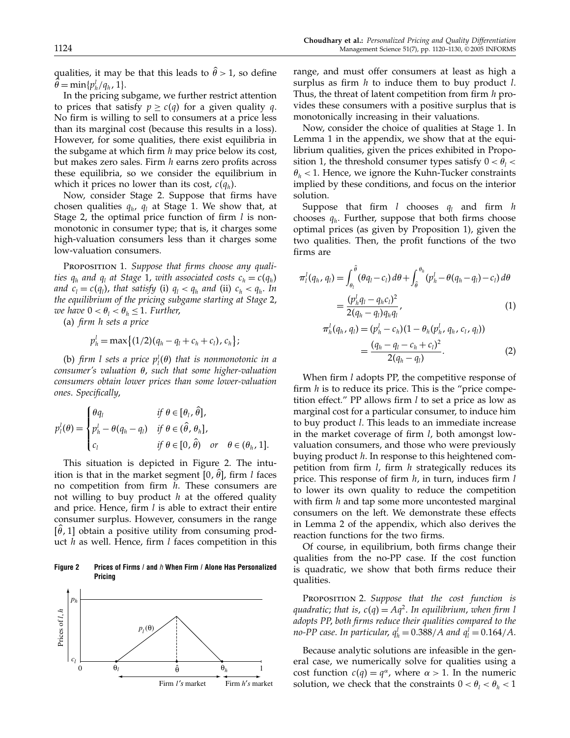qualities, it may be that this leads to  $\hat{\theta} > 1$ , so define  $\theta = \min\{p_h^l/q_h, 1\}.$ 

In the pricing subgame, we further restrict attention to prices that satisfy  $p \geq c(q)$  for a given quality q. No firm is willing to sell to consumers at a price less than its marginal cost (because this results in a loss). However, for some qualities, there exist equilibria in the subgame at which firm  $h$  may price below its cost, but makes zero sales. Firm h earns zero profits across these equilibria, so we consider the equilibrium in which it prices no lower than its cost,  $c(q_h)$ .

Now, consider Stage 2. Suppose that firms have chosen qualities  $q_h$ ,  $q_l$  at Stage 1. We show that, at Stage 2, the optimal price function of firm  $l$  is nonmonotonic in consumer type; that is, it charges some high-valuation consumers less than it charges some low-valuation consumers.

PROPOSITION 1. Suppose that firms choose any qualities  $q_h$  and  $q_l$  at Stage 1, with associated costs  $c_h = c(q_h)$ and  $c_l = c(q_l)$ , that satisfy (i)  $q_l < q_h$  and (ii)  $c_h < q_h$ . In the equilibrium of the pricing subgame starting at Stage 2, we have  $0 < \theta_l < \theta_h \leq 1$ . Further,

(a) firm h sets a price

$$
p_h^l = \max\{(1/2)(q_h - q_l + c_h + c_l), c_h\};
$$

(b) firm l sets a price  $p_l^l(\theta)$  that is nonmonotonic in a consumer's valuation  $\theta$ , such that some higher-valuation consumers obtain lower prices than some lower-valuation ones. Specifically,

$$
p_l^l(\theta) = \begin{cases} \theta q_l & \text{if } \theta \in [\theta_l, \hat{\theta}], \\ p_h^l - \theta (q_h - q_l) & \text{if } \theta \in (\hat{\theta}, \theta_h], \\ c_l & \text{if } \theta \in [0, \hat{\theta}) \quad \text{or} \quad \theta \in (\theta_h, 1]. \end{cases}
$$

This situation is depicted in Figure 2. The intuition is that in the market segment  $[0, \theta]$ , firm *l* faces no competition from firm  $h$ . These consumers are not willing to buy product  $h$  at the offered quality and price. Hence, firm l is able to extract their entire consumer surplus. However, consumers in the range  $[\theta, 1]$  obtain a positive utility from consuming product  $h$  as well. Hence, firm  $l$  faces competition in this

Figure 2 Prices of Firms / and h When Firm / Alone Has Personalized Pricing



range, and must offer consumers at least as high a surplus as firm  $h$  to induce them to buy product  $l$ . Thus, the threat of latent competition from firm h provides these consumers with a positive surplus that is monotonically increasing in their valuations.

Now, consider the choice of qualities at Stage 1. In Lemma 1 in the appendix, we show that at the equilibrium qualities, given the prices exhibited in Proposition 1, the threshold consumer types satisfy  $0 < \theta_1 <$  $\theta_h$  < 1. Hence, we ignore the Kuhn-Tucker constraints implied by these conditions, and focus on the interior solution.

Suppose that firm *l* chooses  $q_l$  and firm *h* chooses  $q_h$ . Further, suppose that both firms choose optimal prices (as given by Proposition 1), given the two qualities. Then, the profit functions of the two firms are

$$
\pi_l^l(q_h, q_l) = \int_{\theta_l}^{\hat{\theta}} (\theta q_l - c_l) d\theta + \int_{\hat{\theta}}^{\theta_h} (p_h^l - \theta (q_h - q_l) - c_l) d\theta \n= \frac{(p_h^l q_l - q_h c_l)^2}{2(q_h - q_l) q_h q_l},
$$
\n(1)

$$
\pi_h^l(q_h, q_l) = (p_h^l - c_h)(1 - \theta_h(p_h^l, q_h, c_l, q_l))
$$
  
= 
$$
\frac{(q_h - q_l - c_h + c_l)^2}{2(q_h - q_l)}.
$$
 (2)

When firm *l* adopts PP, the competitive response of firm  $h$  is to reduce its price. This is the "price competition effect." PP allows firm  $l$  to set a price as low as marginal cost for a particular consumer, to induce him to buy product l. This leads to an immediate increase in the market coverage of firm  $l$ , both amongst lowvaluation consumers, and those who were previously buying product h. In response to this heightened competition from firm  $l$ , firm  $h$  strategically reduces its price. This response of firm  $h$ , in turn, induces firm  $l$ to lower its own quality to reduce the competition with firm  $h$  and tap some more uncontested marginal consumers on the left. We demonstrate these effects in Lemma 2 of the appendix, which also derives the reaction functions for the two firms.

Of course, in equilibrium, both firms change their qualities from the no-PP case. If the cost function is quadratic, we show that both firms reduce their qualities.

PROPOSITION 2. Suppose that the cost function is quadratic; that is,  $c(q) = Aq^2$ . In equilibrium, when firm l adopts PP, both firms reduce their qualities compared to the no-PP case. In particular,  $q_h^l = 0.388/A$  and  $q_l^l = 0.164/A$ .

Because analytic solutions are infeasible in the general case, we numerically solve for qualities using a cost function  $c(q) = q^{\alpha}$ , where  $\alpha > 1$ . In the numeric solution, we check that the constraints  $0 < \theta_l < \theta_h < 1$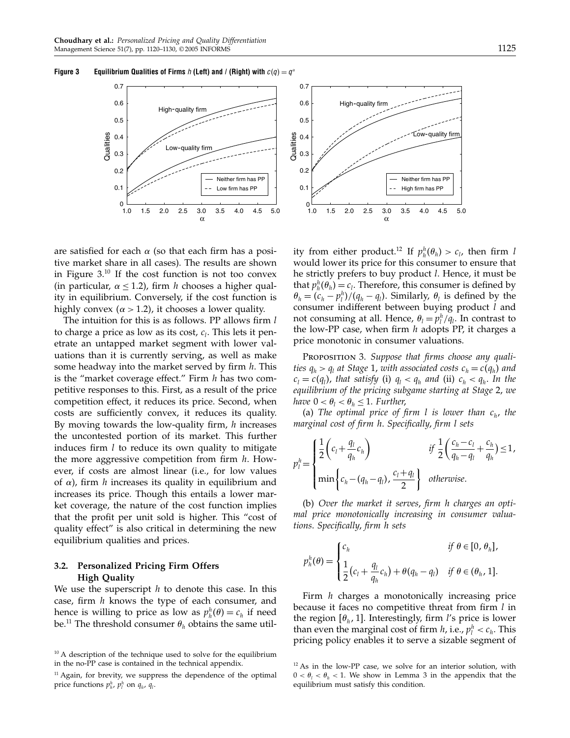#### Figure 3 Equilibrium Qualities of Firms h (Left) and / (Right) with  $c(q) = q^d$



are satisfied for each  $\alpha$  (so that each firm has a positive market share in all cases). The results are shown in Figure  $3^{10}$  If the cost function is not too convex (in particular,  $\alpha \leq 1.2$ ), firm h chooses a higher quality in equilibrium. Conversely, if the cost function is highly convex  $(\alpha > 1.2)$ , it chooses a lower quality.

The intuition for this is as follows. PP allows firm l to charge a price as low as its cost,  $c_l$ . This lets it penetrate an untapped market segment with lower valuations than it is currently serving, as well as make some headway into the market served by firm  $h$ . This is the "market coverage effect." Firm  $h$  has two competitive responses to this. First, as a result of the price competition effect, it reduces its price. Second, when costs are sufficiently convex, it reduces its quality. By moving towards the low-quality firm,  $h$  increases the uncontested portion of its market. This further induces firm  $l$  to reduce its own quality to mitigate the more aggressive competition from firm  $h$ . However, if costs are almost linear (i.e., for low values of  $\alpha$ ), firm h increases its quality in equilibrium and increases its price. Though this entails a lower market coverage, the nature of the cost function implies that the profit per unit sold is higher. This "cost of quality effect" is also critical in determining the new equilibrium qualities and prices.

#### 3.2. Personalized Pricing Firm Offers High Quality

We use the superscript  $h$  to denote this case. In this case, firm  $h$  knows the type of each consumer, and hence is willing to price as low as  $p_h^h(\theta) = c_h$  if need be.<sup>11</sup> The threshold consumer  $\theta_h$  obtains the same util-



ity from either product.<sup>12</sup> If  $p_h^h(\theta_h) > c_l$ , then firm l would lower its price for this consumer to ensure that he strictly prefers to buy product l. Hence, it must be that  $p_h^h(\theta_h) = c_l$ . Therefore, this consumer is defined by  $\theta_h = (c_h - p_l^h) / (q_h - q_l)$ . Similarly,  $\theta_l$  is defined by the consumer indifferent between buying product l and not consuming at all. Hence,  $\theta_l = p_l^h/q_l$ . In contrast to the low-PP case, when firm  $h$  adopts PP, it charges a price monotonic in consumer valuations.

PROPOSITION 3. Suppose that firms choose any qualities  $q_h > q_l$  at Stage 1, with associated costs  $c_h = c(q_h)$  and  $c_l = c(q_l)$ , that satisfy (i)  $q_l < q_h$  and (ii)  $c_h < q_h$ . In the equilibrium of the pricing subgame starting at Stage 2, we have  $0 < \theta_l < \theta_h \leq 1$ . Further,

(a) The optimal price of firm l is lower than  $c_h$ , the marginal cost of firm h. Specifically, firm l sets

$$
p_l^h = \begin{cases} \frac{1}{2} \left( c_l + \frac{q_l}{q_h} c_h \right) & \text{if } \frac{1}{2} \left( \frac{c_h - c_l}{q_h - q_l} + \frac{c_h}{q_h} \right) \le 1, \\ \min \left\{ c_h - (q_h - q_l), \frac{c_l + q_l}{2} \right\} & \text{otherwise.} \end{cases}
$$

(b) Over the market it serves, firm h charges an optimal price monotonically increasing in consumer valuations. Specifically, firm h sets

$$
p_h^h(\theta) = \begin{cases} c_h & \text{if } \theta \in [0, \theta_h], \\ \frac{1}{2} (c_l + \frac{q_l}{q_h} c_h) + \theta (q_h - q_l) & \text{if } \theta \in (\theta_h, 1]. \end{cases}
$$

Firm *h* charges a monotonically increasing price because it faces no competitive threat from firm l in the region  $\left[\theta_h, 1\right]$ . Interestingly, firm *l's* price is lower than even the marginal cost of firm  $h$ , i.e.,  $p_l^h < c_h$ . This pricing policy enables it to serve a sizable segment of

<sup>&</sup>lt;sup>10</sup> A description of the technique used to solve for the equilibrium in the no-PP case is contained in the technical appendix.

<sup>&</sup>lt;sup>11</sup> Again, for brevity, we suppress the dependence of the optimal price functions  $p_h^h$ ,  $p_l^h$  on  $q_h$ ,  $q_l$ .

<sup>&</sup>lt;sup>12</sup> As in the low-PP case, we solve for an interior solution, with  $0 < \theta_{\iota} < \theta_{\iota} < 1$ . We show in Lemma 3 in the appendix that the equilibrium must satisfy this condition.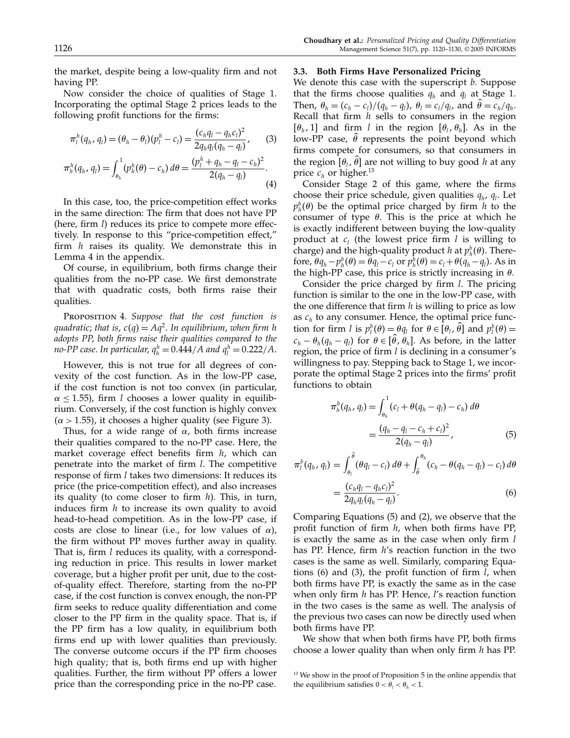the market, despite being a low-quality firm and not having PP.

Now consider the choice of qualities of Stage 1. Incorporating the optimal Stage 2 prices leads to the following profit functions for the firms:

$$
\pi_l^h(q_h, q_l) = (\theta_h - \theta_l)(p_l^h - c_l) = \frac{(c_h q_l - q_h c_l)^2}{2q_h q_l (q_h - q_l)},
$$
(3)  

$$
\pi_l^h(q_h, q_l) = \int_{0}^{1} (p_l^h(q) - c_l) dq = \frac{(p_l^h + q_h - q_l - c_h)^2}{2q_l q_l (q_h - q_l - q_l)},
$$

$$
\pi_h^h(q_h, q_l) = \int_{\theta_h}^1 (p_h^h(\theta) - c_h) \, d\theta = \frac{(p_l^h + q_h - q_l - c_h)^2}{2(q_h - q_l)}.
$$
\n(4)

In this case, too, the price-competition effect works in the same direction: The firm that does not have PP (here, firm *l*) reduces its price to compete more effectively. In response to this "price-competition effect," firm h raises its quality. We demonstrate this in Lemma 4 in the appendix.

Of course, in equilibrium, both firms change their qualities from the no-PP case. We first demonstrate that with quadratic costs, both firms raise their qualities.

PROPOSITION 4. Suppose that the cost function is quadratic; that is,  $c(q) = Aq^2$ . In equilibrium, when firm h adopts PP, both firms raise their qualities compared to the no-PP case. In particular,  $q_h^h = 0.444/A$  and  $q_l^h = 0.222/A$ .

However, this is not true for all degrees of convexity of the cost function. As in the low-PP case, if the cost function is not too convex (in particular,  $\alpha \leq 1.55$ ), firm *l* chooses a lower quality in equilibrium. Conversely, if the cost function is highly convex  $(\alpha > 1.55)$ , it chooses a higher quality (see Figure 3).

Thus, for a wide range of  $\alpha$ , both firms increase their qualities compared to the no-PP case. Here, the market coverage effect benefits firm  $h$ , which can penetrate into the market of firm l. The competitive response of firm l takes two dimensions: It reduces its price (the price-competition effect), and also increases its quality (to come closer to firm  $h$ ). This, in turn, induces firm  $h$  to increase its own quality to avoid head-to-head competition. As in the low-PP case, if costs are close to linear (i.e., for low values of  $\alpha$ ), the firm without PP moves further away in quality. That is, firm *l* reduces its quality, with a corresponding reduction in price. This results in lower market coverage, but a higher profit per unit, due to the costof-quality effect. Therefore, starting from the no-PP case, if the cost function is convex enough, the non-PP firm seeks to reduce quality differentiation and come closer to the PP firm in the quality space. That is, if the PP firm has a low quality, in equilibrium both firms end up with lower qualities than previously. The converse outcome occurs if the PP firm chooses high quality; that is, both firms end up with higher qualities. Further, the firm without PP offers a lower price than the corresponding price in the no-PP case.

#### 3.3. Both Firms Have Personalized Pricing

We denote this case with the superscript  $b$ . Suppose that the firms choose qualities  $q_h$  and  $q_l$  at Stage 1. Then,  $\theta_h = (c_h - c_l)/(\mathbf{q}_h - \mathbf{q}_l)$ ,  $\theta_l = c_l/\mathbf{q}_l$ , and  $\theta = c_h/\mathbf{q}_h$ . Recall that firm  $h$  sells to consumers in the region  $[\theta_h, 1]$  and firm l in the region  $[\theta_l, \theta_h]$ . As in the low-PP case,  $\hat{\theta}$  represents the point beyond which firms compete for consumers, so that consumers in the region  $\left[\theta_l, \theta\right]$  are not willing to buy good h at any price  $c_h$  or higher.<sup>13</sup>

Consider Stage 2 of this game, where the firms choose their price schedule, given qualities  $q_h$ ,  $q_l$ . Let  $p_h^b(\theta)$  be the optimal price charged by firm  $h$  to the consumer of type  $\theta$ . This is the price at which he is exactly indifferent between buying the low-quality product at  $c_l$  (the lowest price firm l is willing to charge) and the high-quality product h at  $p_h^b(\theta)$ . Therefore,  $\theta q_h - p_h^b(\theta) = \theta q_l - c_l$  or  $p_h^b(\theta) = c_l + \theta (q_h - q_l)$ . As in the high-PP case, this price is strictly increasing in  $\theta$ .

Consider the price charged by firm l. The pricing function is similar to the one in the low-PP case, with the one difference that firm  $h$  is willing to price as low as  $c_h$  to any consumer. Hence, the optimal price function for firm *l* is  $p_l^b(\theta) = \theta q_l$  for  $\theta \in [\theta_l, \theta]$  and  $p_l^b(\theta) =$  $c_h - \theta_h(q_h - q_l)$  for  $\theta \in [\hat{\theta}, \theta_h]$ . As before, in the latter region, the price of firm  $l$  is declining in a consumer's willingness to pay. Stepping back to Stage 1, we incorporate the optimal Stage 2 prices into the firms' profit functions to obtain

$$
\pi_h^b(q_h, q_l) = \int_{\theta_h}^1 (c_l + \theta(q_h - q_l) - c_h) d\theta
$$
  
= 
$$
\frac{(q_h - q_l - c_h + c_l)^2}{2(q_h - q_l)},
$$
 (5)

$$
\pi_l^b(q_h, q_l) = \int_{\theta_l}^{\hat{\theta}} (\theta q_l - c_l) \, d\theta + \int_{\hat{\theta}}^{\theta_h} (c_h - \theta (q_h - q_l) - c_l) \, d\theta
$$
\n
$$
= \frac{(c_h q_l - q_h c_l)^2}{2q_r q_r (q_r - q_l)}.
$$
\n(6)

$$
=\frac{\left\langle c_h q_l \right\rangle q_h c_l}{2q_h q_l (q_h - q_l)}.
$$
\n(6)

Comparing Equations (5) and (2), we observe that the profit function of firm  $h$ , when both firms have PP, is exactly the same as in the case when only firm l has PP. Hence, firm h's reaction function in the two cases is the same as well. Similarly, comparing Equations (6) and (3), the profit function of firm  $l$ , when both firms have PP, is exactly the same as in the case when only firm  $h$  has PP. Hence,  $l$ 's reaction function in the two cases is the same as well. The analysis of the previous two cases can now be directly used when both firms have PP.

We show that when both firms have PP, both firms choose a lower quality than when only firm  $h$  has PP.

<sup>&</sup>lt;sup>13</sup> We show in the proof of Proposition 5 in the online appendix that the equilibrium satisfies  $0 < \theta_l < \theta_h < 1$ .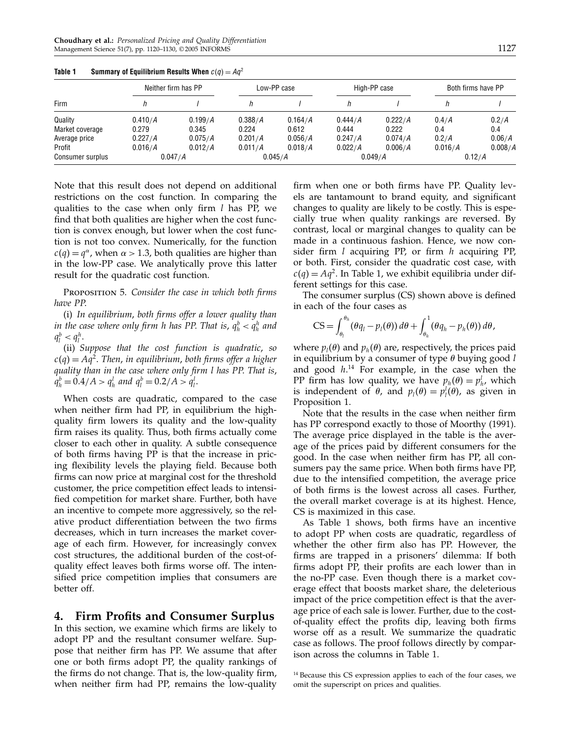| Firm             | Neither firm has PP |         | Low-PP case |         | High-PP case |         | Both firms have PP |         |
|------------------|---------------------|---------|-------------|---------|--------------|---------|--------------------|---------|
|                  |                     |         |             |         |              |         |                    |         |
| Quality          | 0.410/A             | 0.199/A | 0.388/A     | 0.164/A | 0.444/A      | 0.222/A | 0.4/A              | 0.2/A   |
| Market coverage  | 0.279               | 0.345   | 0.224       | 0.612   | 0.444        | 0.222   | 0.4                | 0.4     |
| Average price    | 0.227/A             | 0.075/A | 0.201/A     | 0.056/A | 0.247/A      | 0.074/A | 0.2/A              | 0.06/A  |
| Profit           | 0.016/A             | 0.012/A | 0.011/A     | 0.018/A | 0.022/A      | 0.006/A | 0.016/A            | 0.008/A |
| Consumer surplus |                     | 0.047/A |             | 0.045/A |              | 0.049/A |                    | 0.12/A  |

Table 1 Summary of Equilibrium Results When  $c(q) = Aq^2$ 

Note that this result does not depend on additional restrictions on the cost function. In comparing the qualities to the case when only firm  $l$  has PP, we find that both qualities are higher when the cost function is convex enough, but lower when the cost function is not too convex. Numerically, for the function  $c(q) = q^{\alpha}$ , when  $\alpha > 1.3$ , both qualities are higher than in the low-PP case. We analytically prove this latter result for the quadratic cost function.

PROPOSITION 5. Consider the case in which both firms have PP.

(i) In equilibrium, both firms offer a lower quality than in the case where only firm h has PP. That is,  $q_h^b < q_h^h$  and  $q_l^b < q_l^h$ .

(ii) Suppose that the cost function is quadratic, so  $c(q) = Aq^2$ . Then, in equilibrium, both firms offer a higher quality than in the case where only firm l has PP. That is,  $q_h^b = 0.4/A > q_h^l$  and  $q_l^b = 0.2/A > q_l^l$ .

When costs are quadratic, compared to the case when neither firm had PP, in equilibrium the highquality firm lowers its quality and the low-quality firm raises its quality. Thus, both firms actually come closer to each other in quality. A subtle consequence of both firms having PP is that the increase in pricing flexibility levels the playing field. Because both firms can now price at marginal cost for the threshold customer, the price competition effect leads to intensified competition for market share. Further, both have an incentive to compete more aggressively, so the relative product differentiation between the two firms decreases, which in turn increases the market coverage of each firm. However, for increasingly convex cost structures, the additional burden of the cost-ofquality effect leaves both firms worse off. The intensified price competition implies that consumers are better off.

## 4. Firm Profits and Consumer Surplus

In this section, we examine which firms are likely to adopt PP and the resultant consumer welfare. Suppose that neither firm has PP. We assume that after one or both firms adopt PP, the quality rankings of the firms do not change. That is, the low-quality firm, when neither firm had PP, remains the low-quality firm when one or both firms have PP. Quality levels are tantamount to brand equity, and significant changes to quality are likely to be costly. This is especially true when quality rankings are reversed. By contrast, local or marginal changes to quality can be made in a continuous fashion. Hence, we now consider firm  $l$  acquiring PP, or firm  $h$  acquiring PP, or both. First, consider the quadratic cost case, with  $c(q) = Aq^2$ . In Table 1, we exhibit equilibria under different settings for this case.

The consumer surplus (CS) shown above is defined in each of the four cases as

$$
CS = \int_{\theta_l}^{\theta_h} (\theta q_l - p_l(\theta)) d\theta + \int_{\theta_h}^1 (\theta q_h - p_h(\theta)) d\theta,
$$

where  $p_l(\theta)$  and  $p_h(\theta)$  are, respectively, the prices paid in equilibrium by a consumer of type  $\theta$  buying good  $l$ and good  $h^{14}$  For example, in the case when the PP firm has low quality, we have  $p_h(\theta) = p_h^l$ , which is independent of  $\theta$ , and  $p_l(\theta) = p_l^l(\theta)$ , as given in Proposition 1.

Note that the results in the case when neither firm has PP correspond exactly to those of Moorthy (1991). The average price displayed in the table is the average of the prices paid by different consumers for the good. In the case when neither firm has PP, all consumers pay the same price. When both firms have PP, due to the intensified competition, the average price of both firms is the lowest across all cases. Further, the overall market coverage is at its highest. Hence, CS is maximized in this case.

As Table 1 shows, both firms have an incentive to adopt PP when costs are quadratic, regardless of whether the other firm also has PP. However, the firms are trapped in a prisoners' dilemma: If both firms adopt PP, their profits are each lower than in the no-PP case. Even though there is a market coverage effect that boosts market share, the deleterious impact of the price competition effect is that the average price of each sale is lower. Further, due to the costof-quality effect the profits dip, leaving both firms worse off as a result. We summarize the quadratic case as follows. The proof follows directly by comparison across the columns in Table 1.

<sup>14</sup> Because this CS expression applies to each of the four cases, we omit the superscript on prices and qualities.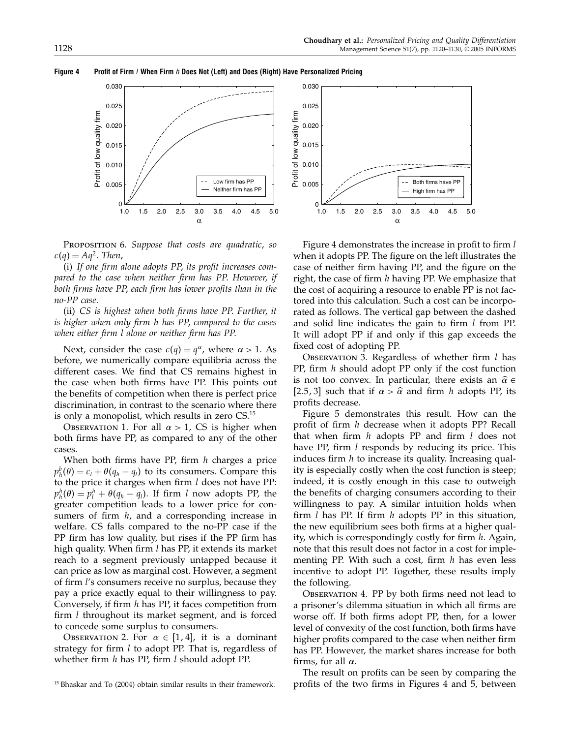#### Figure 4 Profit of Firm / When Firm  $h$  Does Not (Left) and Does (Right) Have Personalized Pricing



PROPOSITION 6. Suppose that costs are quadratic, so  $c(q) = Aq^2$ . Then,

(i) If one firm alone adopts PP, its profit increases compared to the case when neither firm has PP. However, if both firms have PP, each firm has lower profits than in the no-PP case.

(ii) CS is highest when both firms have PP. Further, it is higher when only firm h has PP, compared to the cases when either firm l alone or neither firm has PP.

Next, consider the case  $c(q) = q^{\alpha}$ , where  $\alpha > 1$ . As before, we numerically compare equilibria across the different cases. We find that CS remains highest in the case when both firms have PP. This points out the benefits of competition when there is perfect price discrimination, in contrast to the scenario where there is only a monopolist, which results in zero CS.<sup>15</sup>

OBSERVATION 1. For all  $\alpha > 1$ , CS is higher when both firms have PP, as compared to any of the other cases.

When both firms have PP, firm  $h$  charges a price  $p_h^b(\theta) = c_l + \theta(q_h - q_l)$  to its consumers. Compare this to the price it charges when firm  $l$  does not have PP:  $p_h^h(\theta) = p_l^h + \theta(q_h - q_l)$ . If firm l now adopts PP, the greater competition leads to a lower price for consumers of firm  $h$ , and a corresponding increase in welfare. CS falls compared to the no-PP case if the PP firm has low quality, but rises if the PP firm has high quality. When firm *l* has PP, it extends its market reach to a segment previously untapped because it can price as low as marginal cost. However, a segment of firm l's consumers receive no surplus, because they pay a price exactly equal to their willingness to pay. Conversely, if firm  $h$  has PP, it faces competition from firm l throughout its market segment, and is forced to concede some surplus to consumers.

OBSERVATION 2. For  $\alpha \in [1, 4]$ , it is a dominant strategy for firm l to adopt PP. That is, regardless of whether firm  $h$  has PP, firm  $l$  should adopt PP.



Figure 4 demonstrates the increase in profit to firm l when it adopts PP. The figure on the left illustrates the case of neither firm having PP, and the figure on the right, the case of firm  $h$  having PP. We emphasize that the cost of acquiring a resource to enable PP is not factored into this calculation. Such a cost can be incorporated as follows. The vertical gap between the dashed and solid line indicates the gain to firm  $l$  from PP. It will adopt PP if and only if this gap exceeds the fixed cost of adopting PP.

OBSERVATION 3. Regardless of whether firm  $l$  has PP, firm  $h$  should adopt PP only if the cost function is not too convex. In particular, there exists an  $\hat{\alpha} \in$ [2.5, 3] such that if  $\alpha > \hat{\alpha}$  and firm h adopts PP, its profits decrease.

Figure 5 demonstrates this result. How can the profit of firm h decrease when it adopts PP? Recall that when firm  $h$  adopts PP and firm  $l$  does not have PP, firm *l* responds by reducing its price. This induces firm  $h$  to increase its quality. Increasing quality is especially costly when the cost function is steep; indeed, it is costly enough in this case to outweigh the benefits of charging consumers according to their willingness to pay. A similar intuition holds when firm  $l$  has PP. If firm  $h$  adopts PP in this situation, the new equilibrium sees both firms at a higher quality, which is correspondingly costly for firm h. Again, note that this result does not factor in a cost for implementing PP. With such a cost, firm  $h$  has even less incentive to adopt PP. Together, these results imply the following.

Observation 4. PP by both firms need not lead to a prisoner's dilemma situation in which all firms are worse off. If both firms adopt PP, then, for a lower level of convexity of the cost function, both firms have higher profits compared to the case when neither firm has PP. However, the market shares increase for both firms, for all  $\alpha$ .

The result on profits can be seen by comparing the profits of the two firms in Figures 4 and 5, between

<sup>15</sup> Bhaskar and To (2004) obtain similar results in their framework.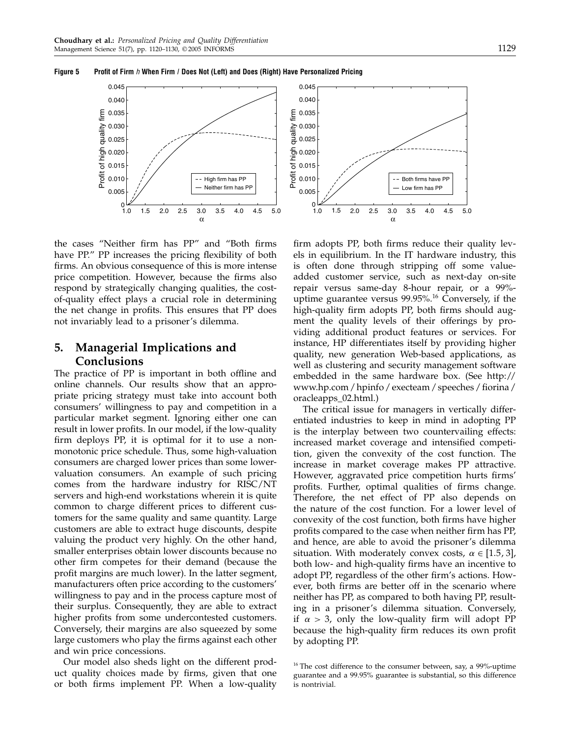



the cases "Neither firm has PP" and "Both firms have PP." PP increases the pricing flexibility of both firms. An obvious consequence of this is more intense price competition. However, because the firms also respond by strategically changing qualities, the costof-quality effect plays a crucial role in determining the net change in profits. This ensures that PP does not invariably lead to a prisoner's dilemma.

# 5. Managerial Implications and Conclusions

The practice of PP is important in both offline and online channels. Our results show that an appropriate pricing strategy must take into account both consumers' willingness to pay and competition in a particular market segment. Ignoring either one can result in lower profits. In our model, if the low-quality firm deploys PP, it is optimal for it to use a nonmonotonic price schedule. Thus, some high-valuation consumers are charged lower prices than some lowervaluation consumers. An example of such pricing comes from the hardware industry for RISC/NT servers and high-end workstations wherein it is quite common to charge different prices to different customers for the same quality and same quantity. Large customers are able to extract huge discounts, despite valuing the product very highly. On the other hand, smaller enterprises obtain lower discounts because no other firm competes for their demand (because the profit margins are much lower). In the latter segment, manufacturers often price according to the customers' willingness to pay and in the process capture most of their surplus. Consequently, they are able to extract higher profits from some undercontested customers. Conversely, their margins are also squeezed by some large customers who play the firms against each other and win price concessions.

Our model also sheds light on the different product quality choices made by firms, given that one or both firms implement PP. When a low-quality



firm adopts PP, both firms reduce their quality levels in equilibrium. In the IT hardware industry, this is often done through stripping off some valueadded customer service, such as next-day on-site repair versus same-day 8-hour repair, or a 99% uptime guarantee versus 99.95%.<sup>16</sup> Conversely, if the high-quality firm adopts PP, both firms should augment the quality levels of their offerings by providing additional product features or services. For instance, HP differentiates itself by providing higher quality, new generation Web-based applications, as well as clustering and security management software embedded in the same hardware box. (See http:// www.hp.com / hpinfo / execteam / speeches / fiorina / oracleapps\_02.html.)

The critical issue for managers in vertically differentiated industries to keep in mind in adopting PP is the interplay between two countervailing effects: increased market coverage and intensified competition, given the convexity of the cost function. The increase in market coverage makes PP attractive. However, aggravated price competition hurts firms' profits. Further, optimal qualities of firms change. Therefore, the net effect of PP also depends on the nature of the cost function. For a lower level of convexity of the cost function, both firms have higher profits compared to the case when neither firm has PP, and hence, are able to avoid the prisoner's dilemma situation. With moderately convex costs,  $\alpha \in [1.5, 3]$ , both low- and high-quality firms have an incentive to adopt PP, regardless of the other firm's actions. However, both firms are better off in the scenario where neither has PP, as compared to both having PP, resulting in a prisoner's dilemma situation. Conversely, if  $\alpha > 3$ , only the low-quality firm will adopt PP because the high-quality firm reduces its own profit by adopting PP.

<sup>&</sup>lt;sup>16</sup> The cost difference to the consumer between, say, a 99%-uptime guarantee and a 99.95% guarantee is substantial, so this difference is nontrivial.